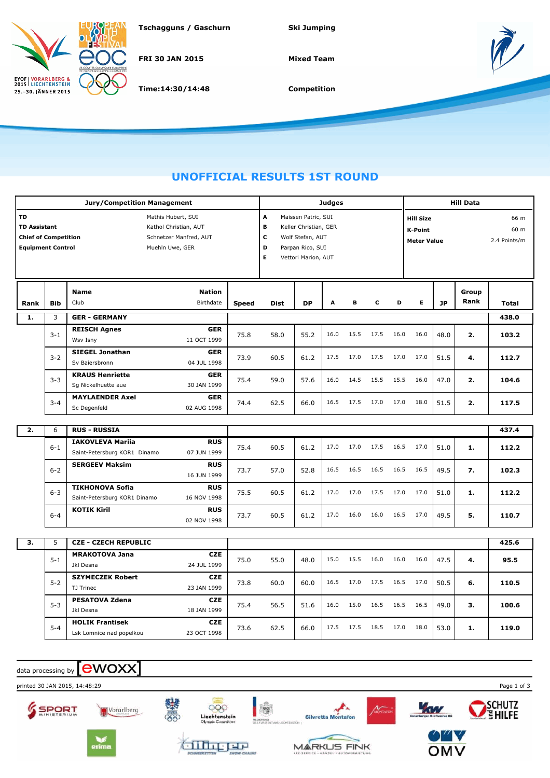

**Tschagguns / Gaschurn Ski Jumping**

**FRI 30 JAN 2015**

**Time:14:30/14:48**

**Mixed Team**



**Competition**

## **UNOFFICIAL RESULTS 1ST ROUND**

|                                                                                                                                                                                  |            | <b>Jury/Competition Management</b>                                                   |              | <b>Judges</b>                                                                                                                                                                                    |           |      |      |      |      | <b>Hill Data</b> |           |               |                              |  |
|----------------------------------------------------------------------------------------------------------------------------------------------------------------------------------|------------|--------------------------------------------------------------------------------------|--------------|--------------------------------------------------------------------------------------------------------------------------------------------------------------------------------------------------|-----------|------|------|------|------|------------------|-----------|---------------|------------------------------|--|
| TD<br>Mathis Hubert, SUI<br><b>TD Assistant</b><br>Kathol Christian, AUT<br><b>Chief of Competition</b><br>Schnetzer Manfred, AUT<br><b>Equipment Control</b><br>Muehln Uwe, GER |            |                                                                                      |              | A<br>Maissen Patric, SUI<br><b>Hill Size</b><br>в<br>Keller Christian, GER<br><b>K-Point</b><br>c<br>Wolf Stefan, AUT<br><b>Meter Value</b><br>D<br>Parpan Rico, SUI<br>Е<br>Vettori Marion, AUT |           |      |      |      |      |                  |           |               | 66 m<br>60 m<br>2.4 Points/m |  |
| Rank                                                                                                                                                                             | <b>Bib</b> | <b>Name</b><br><b>Nation</b><br>Club<br>Birthdate                                    | <b>Speed</b> | <b>Dist</b>                                                                                                                                                                                      | <b>DP</b> | А    | в    | c    | D    | Е                | <b>JP</b> | Group<br>Rank | <b>Total</b>                 |  |
| 1.                                                                                                                                                                               | 3          | <b>GER - GERMANY</b>                                                                 |              |                                                                                                                                                                                                  |           |      |      |      |      |                  |           |               | 438.0                        |  |
|                                                                                                                                                                                  | $3 - 1$    | <b>REISCH Agnes</b><br><b>GER</b><br>11 OCT 1999<br>Wsv Isny                         | 75.8         | 58.0                                                                                                                                                                                             | 55.2      | 16.0 | 15.5 | 17.5 | 16.0 | 16.0             | 48.0      | 2.            | 103.2                        |  |
|                                                                                                                                                                                  | $3 - 2$    | <b>SIEGEL Jonathan</b><br><b>GER</b><br>Sv Baiersbronn<br>04 JUL 1998                | 73.9         | 60.5                                                                                                                                                                                             | 61.2      | 17.5 | 17.0 | 17.5 | 17.0 | 17.0             | 51.5      | 4.            | 112.7                        |  |
|                                                                                                                                                                                  | $3 - 3$    | <b>KRAUS Henriette</b><br><b>GER</b><br>Sq Nickelhuette aue<br>30 JAN 1999           | 75.4         | 59.0                                                                                                                                                                                             | 57.6      | 16.0 | 14.5 | 15.5 | 15.5 | 16.0             | 47.0      | 2.            | 104.6                        |  |
|                                                                                                                                                                                  | $3 - 4$    | <b>MAYLAENDER Axel</b><br><b>GER</b><br>Sc Degenfeld<br>02 AUG 1998                  | 74.4         | 62.5                                                                                                                                                                                             | 66.0      | 16.5 | 17.5 | 17.0 | 17.0 | 18.0             | 51.5      | 2.            | 117.5                        |  |
| 2.                                                                                                                                                                               | 6          | <b>RUS - RUSSIA</b>                                                                  |              |                                                                                                                                                                                                  |           |      |      |      |      |                  |           |               | 437.4                        |  |
|                                                                                                                                                                                  | $6 - 1$    | <b>IAKOVLEVA Mariia</b><br><b>RUS</b><br>Saint-Petersburg KOR1 Dinamo<br>07 JUN 1999 | 75.4         | 60.5                                                                                                                                                                                             | 61.2      | 17.0 | 17.0 | 17.5 | 16.5 | 17.0             | 51.0      | 1.            | 112.2                        |  |
|                                                                                                                                                                                  | $6 - 2$    | <b>SERGEEV Maksim</b><br><b>RUS</b><br>16 JUN 1999                                   | 73.7         | 57.0                                                                                                                                                                                             | 52.8      | 16.5 | 16.5 | 16.5 | 16.5 | 16.5             | 49.5      | 7.            | 102.3                        |  |
|                                                                                                                                                                                  | $6 - 3$    | <b>TIKHONOVA Sofia</b><br><b>RUS</b><br>16 NOV 1998<br>Saint-Petersburg KOR1 Dinamo  | 75.5         | 60.5                                                                                                                                                                                             | 61.2      | 17.0 | 17.0 | 17.5 | 17.0 | 17.0             | 51.0      | 1.            | 112.2                        |  |
|                                                                                                                                                                                  | $6 - 4$    | <b>KOTIK Kiril</b><br><b>RUS</b><br>02 NOV 1998                                      | 73.7         | 60.5                                                                                                                                                                                             | 61.2      | 17.0 | 16.0 | 16.0 | 16.5 | 17.0             | 49.5      | 5.            | 110.7                        |  |
| 3.                                                                                                                                                                               | 5          | <b>CZE - CZECH REPUBLIC</b>                                                          |              |                                                                                                                                                                                                  |           |      |      |      |      |                  |           |               | 425.6                        |  |
|                                                                                                                                                                                  | $5 - 1$    | <b>CZE</b><br><b>MRAKOTOVA Jana</b><br>24 JUL 1999<br>Jkl Desna                      | 75.0         | 55.0                                                                                                                                                                                             | 48.0      | 15.0 | 15.5 | 16.0 | 16.0 | 16.0             | 47.5      | 4.            | 95.5                         |  |
|                                                                                                                                                                                  | $5 - 2$    | <b>SZYMECZEK Robert</b><br><b>CZE</b><br>TJ Trinec<br>23 JAN 1999                    | 73.8         | 60.0                                                                                                                                                                                             | 60.0      | 16.5 | 17.0 | 17.5 | 16.5 | 17.0             | 50.5      | 6.            | 110.5                        |  |
|                                                                                                                                                                                  | $5 - 3$    | <b>PESATOVA Zdena</b><br><b>CZE</b><br>Jkl Desna<br>18 JAN 1999                      | 75.4         | 56.5                                                                                                                                                                                             | 51.6      | 16.0 | 15.0 | 16.5 | 16.5 | 16.5             | 49.0      | з.            | 100.6                        |  |
|                                                                                                                                                                                  | $5 - 4$    | <b>HOLIK Frantisek</b><br><b>CZE</b><br>23 OCT 1998<br>Lsk Lomnice nad popelkou      | 73.6         | 62.5                                                                                                                                                                                             | 66.0      | 17.5 | 17.5 | 18.5 | 17.0 | 18.0             | 53.0      | 1.            | 119.0                        |  |

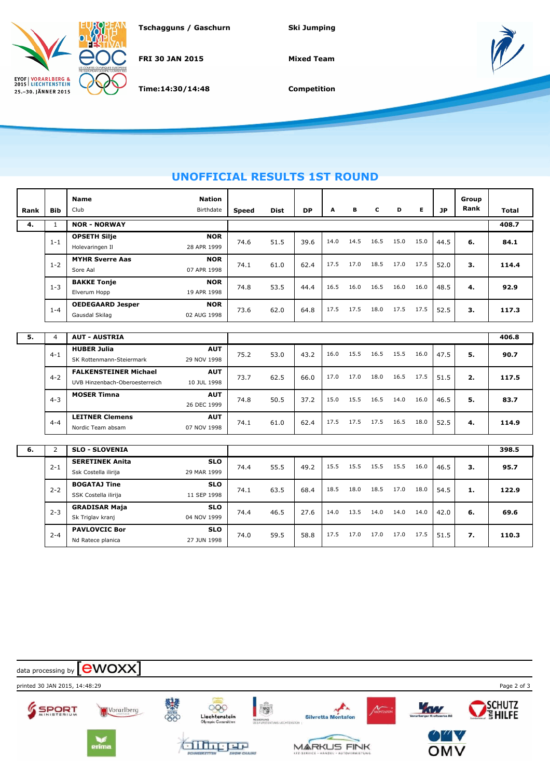

**Tschagguns / Gaschurn Ski Jumping**

**FRI 30 JAN 2015**

**Time:14:30/14:48**

**Mixed Team**



**Competition**

## **UNOFFICIAL RESULTS 1ST ROUND**

| Rank | <b>Bib</b>     | Name<br>Club                                                   | <b>Nation</b><br>Birthdate | <b>Speed</b> | <b>Dist</b> | <b>DP</b> | A    | в    | c    | D    | E.   | JP   | Group<br>Rank | <b>Total</b> |
|------|----------------|----------------------------------------------------------------|----------------------------|--------------|-------------|-----------|------|------|------|------|------|------|---------------|--------------|
| 4.   | $\mathbf{1}$   | <b>NOR - NORWAY</b>                                            |                            |              |             |           |      |      |      |      |      |      | 408.7         |              |
|      | $1 - 1$        | <b>OPSETH Silje</b><br>Holevaringen Il                         | <b>NOR</b><br>28 APR 1999  | 74.6         | 51.5        | 39.6      | 14.0 | 14.5 | 16.5 | 15.0 | 15.0 | 44.5 | 6.            | 84.1         |
|      | $1 - 2$        | <b>MYHR Sverre Aas</b><br>Sore Aal                             | <b>NOR</b><br>07 APR 1998  | 74.1         | 61.0        | 62.4      | 17.5 | 17.0 | 18.5 | 17.0 | 17.5 | 52.0 | з.            | 114.4        |
|      | $1 - 3$        | <b>BAKKE Tonje</b><br>Elverum Hopp                             | <b>NOR</b><br>19 APR 1998  | 74.8         | 53.5        | 44.4      | 16.5 | 16.0 | 16.5 | 16.0 | 16.0 | 48.5 | 4.            | 92.9         |
|      | $1 - 4$        | <b>OEDEGAARD Jesper</b><br>Gausdal Skilag                      | <b>NOR</b><br>02 AUG 1998  | 73.6         | 62.0        | 64.8      | 17.5 | 17.5 | 18.0 | 17.5 | 17.5 | 52.5 | 3.            | 117.3        |
|      |                |                                                                |                            |              |             |           |      |      |      |      |      |      |               |              |
| 5.   | $\overline{4}$ | <b>AUT - AUSTRIA</b>                                           |                            |              |             |           |      |      |      |      |      |      |               | 406.8        |
|      | $4 - 1$        | <b>HUBER Julia</b><br>SK Rottenmann-Steiermark                 | <b>AUT</b><br>29 NOV 1998  | 75.2         | 53.0        | 43.2      | 16.0 | 15.5 | 16.5 | 15.5 | 16.0 | 47.5 | 5.            | 90.7         |
|      | $4 - 2$        | <b>FALKENSTEINER Michael</b><br>UVB Hinzenbach-Oberoesterreich | <b>AUT</b><br>10 JUL 1998  | 73.7         | 62.5        | 66.0      | 17.0 | 17.0 | 18.0 | 16.5 | 17.5 | 51.5 | 2.            | 117.5        |
|      | $4 - 3$        | <b>MOSER Timna</b>                                             | <b>AUT</b><br>26 DEC 1999  | 74.8         | 50.5        | 37.2      | 15.0 | 15.5 | 16.5 | 14.0 | 16.0 | 46.5 | 5.            | 83.7         |
|      | $4 - 4$        | <b>LEITNER Clemens</b><br>Nordic Team absam                    | <b>AUT</b><br>07 NOV 1998  | 74.1         | 61.0        | 62.4      | 17.5 | 17.5 | 17.5 | 16.5 | 18.0 | 52.5 | 4.            | 114.9        |
|      |                |                                                                |                            |              |             |           |      |      |      |      |      |      |               |              |
| 6.   | $\overline{2}$ | <b>SLO - SLOVENIA</b>                                          |                            |              |             |           |      |      |      |      |      |      |               | 398.5        |
|      | $2 - 1$        | <b>SERETINEK Anita</b><br>Ssk Costella ilirija                 | <b>SLO</b><br>29 MAR 1999  | 74.4         | 55.5        | 49.2      | 15.5 | 15.5 | 15.5 | 15.5 | 16.0 | 46.5 | з.            | 95.7         |
|      | $2 - 2$        | <b>BOGATAJ Tine</b><br>SSK Costella ilirija                    | <b>SLO</b><br>11 SEP 1998  | 74.1         | 63.5        | 68.4      | 18.5 | 18.0 | 18.5 | 17.0 | 18.0 | 54.5 | 1.            | 122.9        |
|      | $2 - 3$        | <b>GRADISAR Maja</b><br>Sk Triglav kranj                       | <b>SLO</b><br>04 NOV 1999  | 74.4         | 46.5        | 27.6      | 14.0 | 13.5 | 14.0 | 14.0 | 14.0 | 42.0 | 6.            | 69.6         |
|      | $2 - 4$        | <b>PAVLOVCIC Bor</b><br>Nd Ratece planica                      | <b>SLO</b><br>27 JUN 1998  | 74.0         | 59.5        | 58.8      | 17.5 | 17.0 | 17.0 | 17.0 | 17.5 | 51.5 | 7.            | 110.3        |